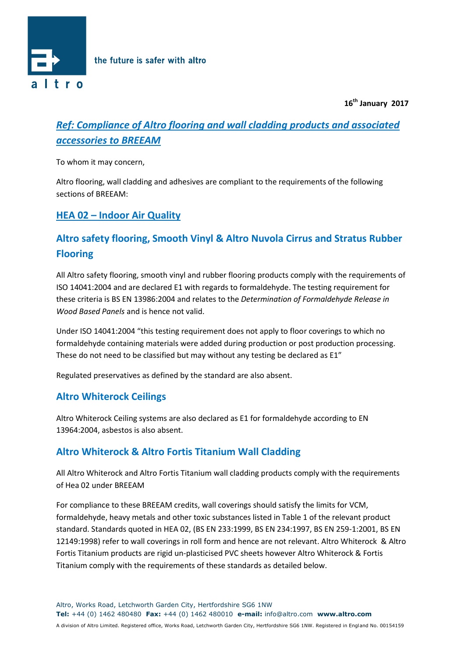

 **16th January 2017**

# *Ref: Compliance of Altro flooring and wall cladding products and associated accessories to BREEAM*

To whom it may concern,

Altro flooring, wall cladding and adhesives are compliant to the requirements of the following sections of BREEAM:

## **HEA 02 – Indoor Air Quality**

# **Altro safety flooring, Smooth Vinyl & Altro Nuvola Cirrus and Stratus Rubber Flooring**

All Altro safety flooring, smooth vinyl and rubber flooring products comply with the requirements of ISO 14041:2004 and are declared E1 with regards to formaldehyde. The testing requirement for these criteria is BS EN 13986:2004 and relates to the *Determination of Formaldehyde Release in Wood Based Panels* and is hence not valid.

Under ISO 14041:2004 "this testing requirement does not apply to floor coverings to which no formaldehyde containing materials were added during production or post production processing. These do not need to be classified but may without any testing be declared as E1"

Regulated preservatives as defined by the standard are also absent.

## **Altro Whiterock Ceilings**

Altro Whiterock Ceiling systems are also declared as E1 for formaldehyde according to EN 13964:2004, asbestos is also absent.

## **Altro Whiterock & Altro Fortis Titanium Wall Cladding**

All Altro Whiterock and Altro Fortis Titanium wall cladding products comply with the requirements of Hea 02 under BREEAM

For compliance to these BREEAM credits, wall coverings should satisfy the limits for VCM, formaldehyde, heavy metals and other toxic substances listed in Table 1 of the relevant product standard. Standards quoted in HEA 02, (BS EN 233:1999, BS EN 234:1997, BS EN 259-1:2001, BS EN 12149:1998) refer to wall coverings in roll form and hence are not relevant. Altro Whiterock & Altro Fortis Titanium products are rigid un-plasticised PVC sheets however Altro Whiterock & Fortis Titanium comply with the requirements of these standards as detailed below.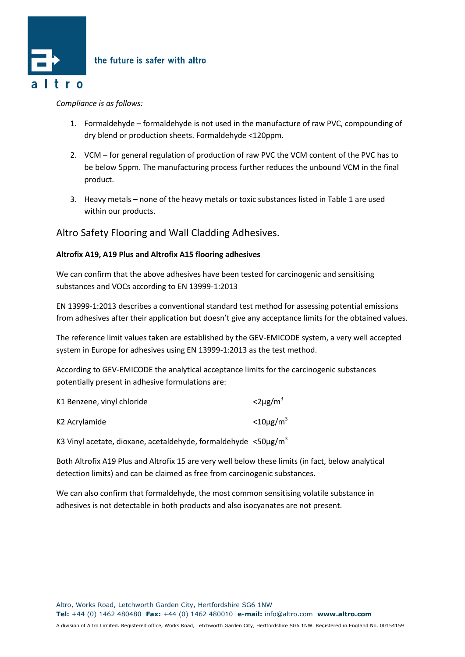

### *Compliance is as follows:*

- 1. Formaldehyde formaldehyde is not used in the manufacture of raw PVC, compounding of dry blend or production sheets. Formaldehyde <120ppm.
- 2. VCM for general regulation of production of raw PVC the VCM content of the PVC has to be below 5ppm. The manufacturing process further reduces the unbound VCM in the final product.
- 3. Heavy metals none of the heavy metals or toxic substances listed in Table 1 are used within our products.

### Altro Safety Flooring and Wall Cladding Adhesives.

### **Altrofix A19, A19 Plus and Altrofix A15 flooring adhesives**

We can confirm that the above adhesives have been tested for carcinogenic and sensitising substances and VOCs according to EN 13999-1:2013

EN 13999-1:2013 describes a conventional standard test method for assessing potential emissions from adhesives after their application but doesn't give any acceptance limits for the obtained values.

The reference limit values taken are established by the GEV-EMICODE system, a very well accepted system in Europe for adhesives using EN 13999-1:2013 as the test method.

According to GEV-EMICODE the analytical acceptance limits for the carcinogenic substances potentially present in adhesive formulations are:

| K1 Benzene, vinyl chloride | $<$ 2µg/m <sup>3</sup>  |
|----------------------------|-------------------------|
| K2 Acrylamide              | $<$ 10µg/m <sup>3</sup> |

K3 Vinyl acetate, dioxane, acetaldehyde, formaldehyde <50 $\mu$ g/m<sup>3</sup>

Both Altrofix A19 Plus and Altrofix 15 are very well below these limits (in fact, below analytical detection limits) and can be claimed as free from carcinogenic substances.

We can also confirm that formaldehyde, the most common sensitising volatile substance in adhesives is not detectable in both products and also isocyanates are not present.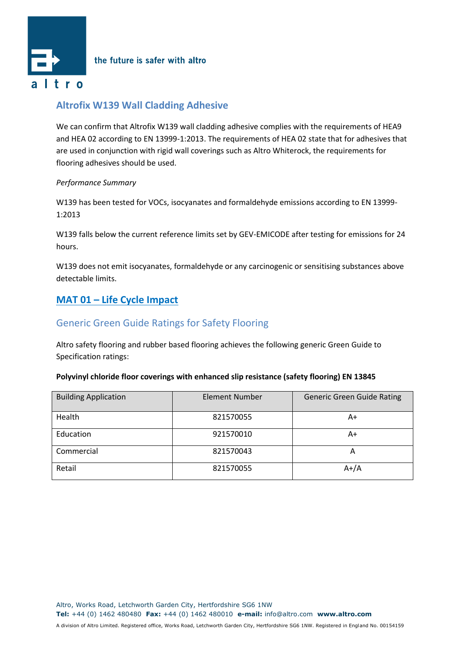

the future is safer with altro

## **Altrofix W139 Wall Cladding Adhesive**

We can confirm that Altrofix W139 wall cladding adhesive complies with the requirements of HEA9 and HEA 02 according to EN 13999-1:2013. The requirements of HEA 02 state that for adhesives that are used in conjunction with rigid wall coverings such as Altro Whiterock, the requirements for flooring adhesives should be used.

### *Performance Summary*

W139 has been tested for VOCs, isocyanates and formaldehyde emissions according to EN 13999- 1:2013

W139 falls below the current reference limits set by GEV-EMICODE after testing for emissions for 24 hours.

W139 does not emit isocyanates, formaldehyde or any carcinogenic or sensitising substances above detectable limits.

## **MAT 01 – Life Cycle Impact**

## Generic Green Guide Ratings for Safety Flooring

Altro safety flooring and rubber based flooring achieves the following generic Green Guide to Specification ratings:

#### **Polyvinyl chloride floor coverings with enhanced slip resistance (safety flooring) EN 13845**

| <b>Building Application</b> | <b>Element Number</b> | <b>Generic Green Guide Rating</b> |
|-----------------------------|-----------------------|-----------------------------------|
| Health                      | 821570055             | A+                                |
| Education                   | 921570010             | A+                                |
| Commercial                  | 821570043             | A                                 |
| Retail                      | 821570055             | $A+/A$                            |